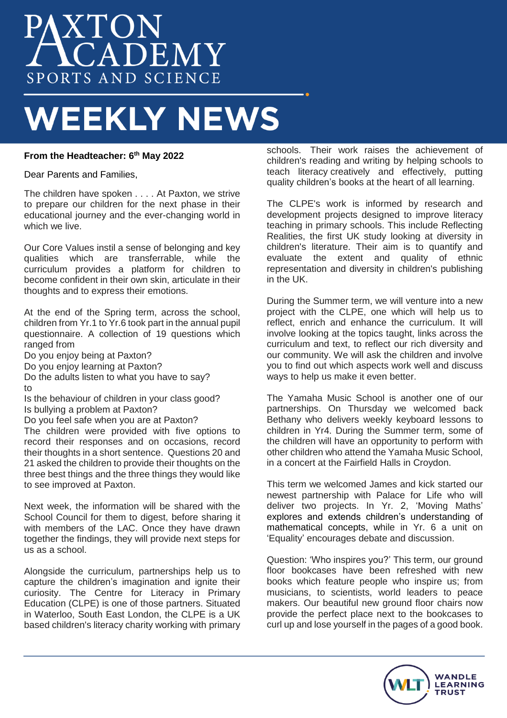# **AXTON<br>ACADEMY** SPORTS AND SCIENCE

# **WEEKLY NEWS**

# **From the Headteacher: 6th May 2022**

Dear Parents and Families,

The children have spoken . . . . At Paxton, we strive to prepare our children for the next phase in their educational journey and the ever-changing world in which we live.

Our Core Values instil a sense of belonging and key qualities which are transferrable, while the curriculum provides a platform for children to become confident in their own skin, articulate in their thoughts and to express their emotions.

At the end of the Spring term, across the school, children from Yr.1 to Yr.6 took part in the annual pupil questionnaire. A collection of 19 questions which ranged from

Do you enjoy being at Paxton?

Do you enjoy learning at Paxton?

Do the adults listen to what you have to say? to

Is the behaviour of children in your class good? Is bullying a problem at Paxton?

Do you feel safe when you are at Paxton?

The children were provided with five options to record their responses and on occasions, record their thoughts in a short sentence. Questions 20 and 21 asked the children to provide their thoughts on the three best things and the three things they would like to see improved at Paxton.

Next week, the information will be shared with the School Council for them to digest, before sharing it with members of the LAC. Once they have drawn together the findings, they will provide next steps for us as a school.

Alongside the curriculum, partnerships help us to capture the children's imagination and ignite their curiosity. The Centre for Literacy in Primary Education (CLPE) is one of those partners. Situated in Waterloo, South East London, the CLPE is a UK based children's literacy charity working with primary

schools. Their work raises the achievement of children's reading and writing by helping schools to teach literacy creatively and effectively, putting quality children's books at the heart of all learning.

The CLPE's work is informed by research and development projects designed to improve literacy teaching in primary schools. This include Reflecting Realities, the first UK study looking at diversity in children's literature. Their aim is to quantify and evaluate the extent and quality of ethnic representation and diversity in children's publishing in the UK.

During the Summer term, we will venture into a new project with the CLPE, one which will help us to reflect, enrich and enhance the curriculum. It will involve looking at the topics taught, links across the curriculum and text, to reflect our rich diversity and our community. We will ask the children and involve you to find out which aspects work well and discuss ways to help us make it even better.

The Yamaha Music School is another one of our partnerships. On Thursday we welcomed back Bethany who delivers weekly keyboard lessons to children in Yr4. During the Summer term, some of the children will have an opportunity to perform with other children who attend the Yamaha Music School, in a concert at the Fairfield Halls in Croydon.

This term we welcomed James and kick started our newest partnership with Palace for Life who will deliver two projects. In Yr. 2, 'Moving Maths' explores and extends children's understanding of mathematical concepts, while in Yr. 6 a unit on 'Equality' encourages debate and discussion.

Question: 'Who inspires you?' This term, our ground floor bookcases have been refreshed with new books which feature people who inspire us; from musicians, to scientists, world leaders to peace makers. Our beautiful new ground floor chairs now provide the perfect place next to the bookcases to curl up and lose yourself in the pages of a good book.